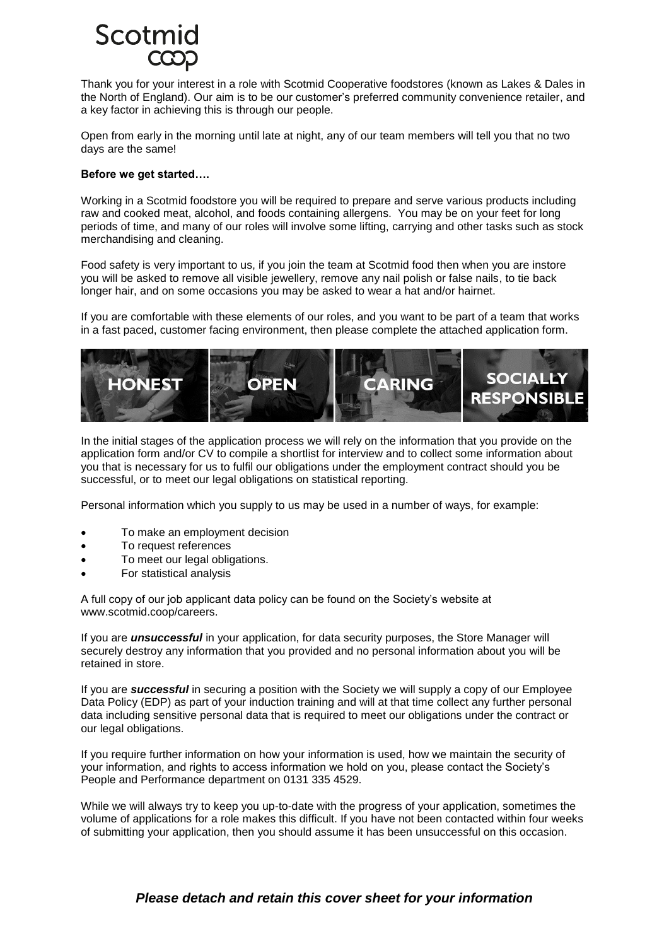# Scotm

Thank you for your interest in a role with Scotmid Cooperative foodstores (known as Lakes & Dales in the North of England). Our aim is to be our customer's preferred community convenience retailer, and a key factor in achieving this is through our people.

Open from early in the morning until late at night, any of our team members will tell you that no two days are the same!

## **Before we get started….**

Working in a Scotmid foodstore you will be required to prepare and serve various products including raw and cooked meat, alcohol, and foods containing allergens. You may be on your feet for long periods of time, and many of our roles will involve some lifting, carrying and other tasks such as stock merchandising and cleaning.

Food safety is very important to us, if you join the team at Scotmid food then when you are instore you will be asked to remove all visible jewellery, remove any nail polish or false nails, to tie back longer hair, and on some occasions you may be asked to wear a hat and/or hairnet.

If you are comfortable with these elements of our roles, and you want to be part of a team that works in a fast paced, customer facing environment, then please complete the attached application form.



In the initial stages of the application process we will rely on the information that you provide on the application form and/or CV to compile a shortlist for interview and to collect some information about you that is necessary for us to fulfil our obligations under the employment contract should you be successful, or to meet our legal obligations on statistical reporting.

Personal information which you supply to us may be used in a number of ways, for example:

- To make an employment decision
- To request references
- To meet our legal obligations.
- For statistical analysis

A full copy of our job applicant data policy can be found on the Society's website at www.scotmid.coop/careers.

If you are *unsuccessful* in your application, for data security purposes, the Store Manager will securely destroy any information that you provided and no personal information about you will be retained in store.

If you are *successful* in securing a position with the Society we will supply a copy of our Employee Data Policy (EDP) as part of your induction training and will at that time collect any further personal data including sensitive personal data that is required to meet our obligations under the contract or our legal obligations.

If you require further information on how your information is used, how we maintain the security of your information, and rights to access information we hold on you, please contact the Society's People and Performance department on 0131 335 4529.

While we will always try to keep you up-to-date with the progress of your application, sometimes the volume of applications for a role makes this difficult. If you have not been contacted within four weeks of submitting your application, then you should assume it has been unsuccessful on this occasion.

# *Please detach and retain this cover sheet for your information*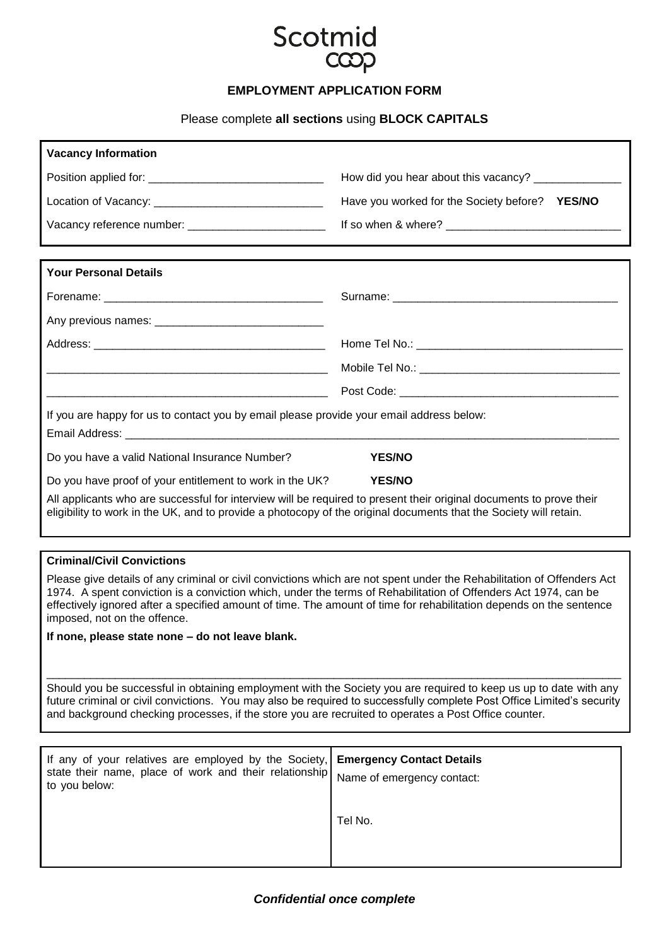

# **EMPLOYMENT APPLICATION FORM**

Please complete **all sections** using **BLOCK CAPITALS**

| <b>Vacancy Information</b>                                                                                                                                                                                                                                                                                                                                                                            |                                                |
|-------------------------------------------------------------------------------------------------------------------------------------------------------------------------------------------------------------------------------------------------------------------------------------------------------------------------------------------------------------------------------------------------------|------------------------------------------------|
|                                                                                                                                                                                                                                                                                                                                                                                                       |                                                |
|                                                                                                                                                                                                                                                                                                                                                                                                       | Have you worked for the Society before? YES/NO |
| Vacancy reference number: ____________________________                                                                                                                                                                                                                                                                                                                                                |                                                |
| <b>Your Personal Details</b>                                                                                                                                                                                                                                                                                                                                                                          |                                                |
|                                                                                                                                                                                                                                                                                                                                                                                                       |                                                |
|                                                                                                                                                                                                                                                                                                                                                                                                       |                                                |
|                                                                                                                                                                                                                                                                                                                                                                                                       |                                                |
|                                                                                                                                                                                                                                                                                                                                                                                                       |                                                |
|                                                                                                                                                                                                                                                                                                                                                                                                       |                                                |
| If you are happy for us to contact you by email please provide your email address below:                                                                                                                                                                                                                                                                                                              |                                                |
| Do you have a valid National Insurance Number?                                                                                                                                                                                                                                                                                                                                                        | <b>YES/NO</b>                                  |
| Do you have proof of your entitlement to work in the UK?                                                                                                                                                                                                                                                                                                                                              | <b>YES/NO</b>                                  |
| All applicants who are successful for interview will be required to present their original documents to prove their<br>eligibility to work in the UK, and to provide a photocopy of the original documents that the Society will retain.                                                                                                                                                              |                                                |
|                                                                                                                                                                                                                                                                                                                                                                                                       |                                                |
| <b>Criminal/Civil Convictions</b><br>Please give details of any criminal or civil convictions which are not spent under the Rehabilitation of Offenders Act<br>1974. A spent conviction is a conviction which, under the terms of Rehabilitation of Offenders Act 1974, can be<br>effectively ignored after a specified amount of time. The amount of time for rehabilitation depends on the sentence |                                                |
| imposed, not on the offence.                                                                                                                                                                                                                                                                                                                                                                          |                                                |

**If none, please state none – do not leave blank.** 

Should you be successful in obtaining employment with the Society you are required to keep us up to date with any future criminal or civil convictions. You may also be required to successfully complete Post Office Limited's security and background checking processes, if the store you are recruited to operates a Post Office counter.

\_\_\_\_\_\_\_\_\_\_\_\_\_\_\_\_\_\_\_\_\_\_\_\_\_\_\_\_\_\_\_\_\_\_\_\_\_\_\_\_\_\_\_\_\_\_\_\_\_\_\_\_\_\_\_\_\_\_\_\_\_\_\_\_\_\_\_\_\_\_\_\_\_\_\_\_\_\_\_\_\_\_\_\_\_\_\_\_\_\_\_\_

| If any of your relatives are employed by the Society, Emergency Contact Details<br>state their name, place of work and their relationship Name of emergency contact:<br>to you below: |         |
|---------------------------------------------------------------------------------------------------------------------------------------------------------------------------------------|---------|
|                                                                                                                                                                                       | Tel No. |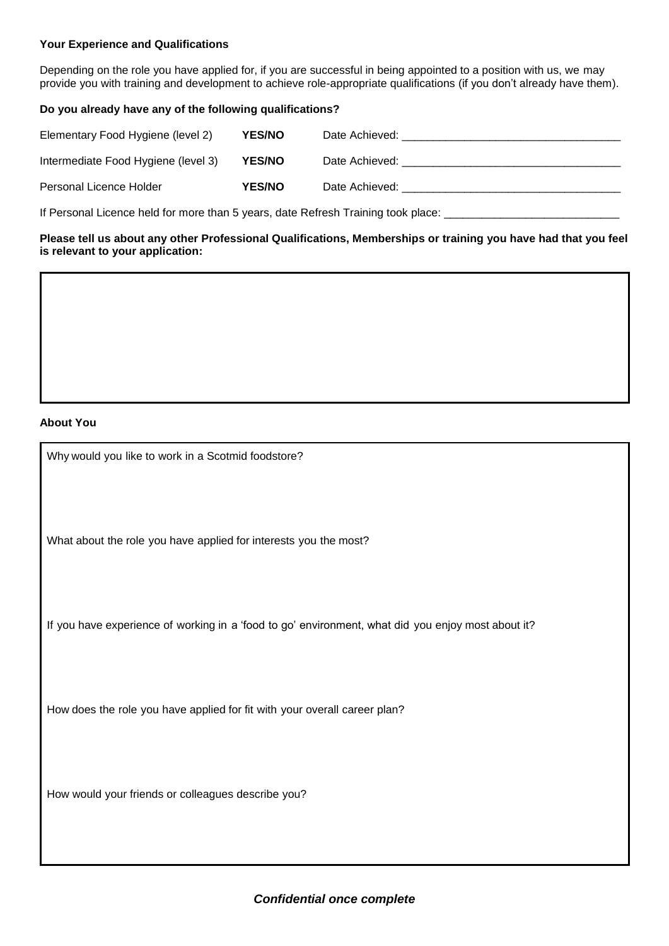# **Your Experience and Qualifications**

Depending on the role you have applied for, if you are successful in being appointed to a position with us, we may provide you with training and development to achieve role-appropriate qualifications (if you don't already have them).

## **Do you already have any of the following qualifications?**

| Elementary Food Hygiene (level 2)   | <b>YES/NO</b> | Date Achieved: <b>Example 20</b> |
|-------------------------------------|---------------|----------------------------------|
| Intermediate Food Hygiene (level 3) | <b>YES/NO</b> | Date Achieved:                   |
| Personal Licence Holder             | <b>YES/NO</b> | Date Achieved:                   |

If Personal Licence held for more than 5 years, date Refresh Training took place: \_

**Please tell us about any other Professional Qualifications, Memberships or training you have had that you feel is relevant to your application:** 

#### **About You**

Why would you like to work in a Scotmid foodstore?

What about the role you have applied for interests you the most?

If you have experience of working in a 'food to go' environment, what did you enjoy most about it?

How does the role you have applied for fit with your overall career plan?

How would your friends or colleagues describe you?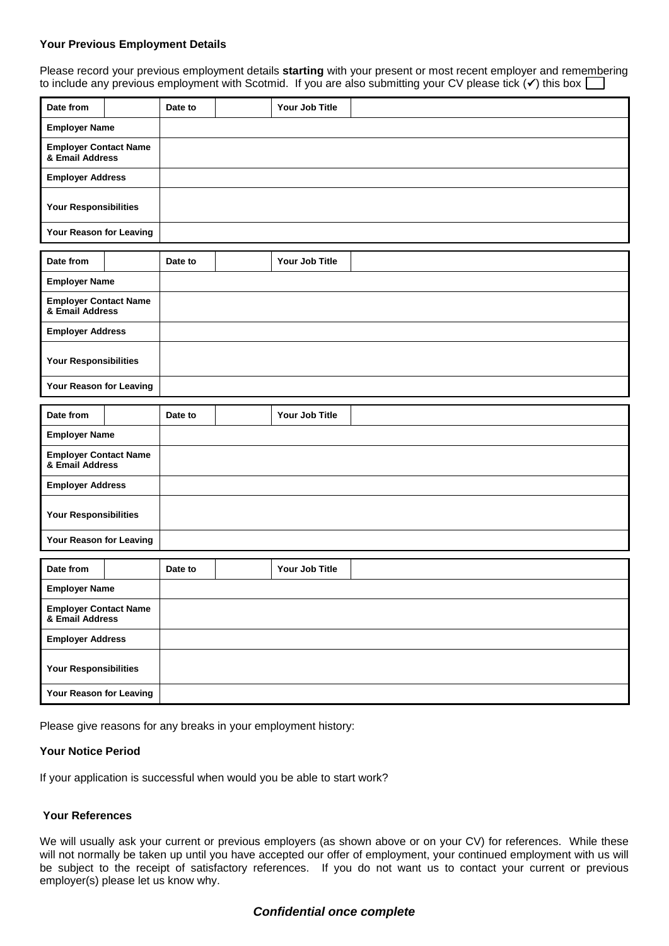#### **Your Previous Employment Details**

Please record your previous employment details **starting** with your present or most recent employer and remembering to include any previous employment with Scotmid. If you are also submitting your CV please tick  $(v)$  this box  $\square$ 

| Date from                                       | Date to |  | Your Job Title |  |
|-------------------------------------------------|---------|--|----------------|--|
| <b>Employer Name</b>                            |         |  |                |  |
| <b>Employer Contact Name</b><br>& Email Address |         |  |                |  |
| <b>Employer Address</b>                         |         |  |                |  |
| Your Responsibilities                           |         |  |                |  |
| Your Reason for Leaving                         |         |  |                |  |
| Date from                                       | Date to |  | Your Job Title |  |
| <b>Employer Name</b>                            |         |  |                |  |
| <b>Employer Contact Name</b><br>& Email Address |         |  |                |  |
| <b>Employer Address</b>                         |         |  |                |  |
| Your Responsibilities                           |         |  |                |  |
| Your Reason for Leaving                         |         |  |                |  |
| Date from                                       | Date to |  | Your Job Title |  |
|                                                 |         |  |                |  |
| <b>Employer Name</b>                            |         |  |                |  |
| <b>Employer Contact Name</b><br>& Email Address |         |  |                |  |
| <b>Employer Address</b>                         |         |  |                |  |
| Your Responsibilities                           |         |  |                |  |
| Your Reason for Leaving                         |         |  |                |  |
| Date from                                       | Date to |  | Your Job Title |  |
| <b>Employer Name</b>                            |         |  |                |  |
| <b>Employer Contact Name</b><br>& Email Address |         |  |                |  |
| <b>Employer Address</b>                         |         |  |                |  |
| Your Responsibilities                           |         |  |                |  |

Please give reasons for any breaks in your employment history:

#### **Your Notice Period**

If your application is successful when would you be able to start work?

# **Your References**

We will usually ask your current or previous employers (as shown above or on your CV) for references. While these will not normally be taken up until you have accepted our offer of employment, your continued employment with us will be subject to the receipt of satisfactory references. If you do not want us to contact your current or previous employer(s) please let us know why.

# *Confidential once complete*